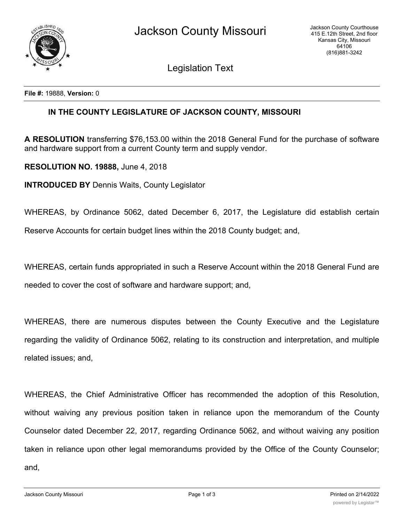Legislation Text

**File #:** 19888, **Version:** 0

## **IN THE COUNTY LEGISLATURE OF JACKSON COUNTY, MISSOURI**

**A RESOLUTION** transferring \$76,153.00 within the 2018 General Fund for the purchase of software and hardware support from a current County term and supply vendor.

**RESOLUTION NO. 19888,** June 4, 2018

**INTRODUCED BY** Dennis Waits, County Legislator

WHEREAS, by Ordinance 5062, dated December 6, 2017, the Legislature did establish certain

Reserve Accounts for certain budget lines within the 2018 County budget; and,

WHEREAS, certain funds appropriated in such a Reserve Account within the 2018 General Fund are needed to cover the cost of software and hardware support; and,

WHEREAS, there are numerous disputes between the County Executive and the Legislature regarding the validity of Ordinance 5062, relating to its construction and interpretation, and multiple related issues; and,

WHEREAS, the Chief Administrative Officer has recommended the adoption of this Resolution, without waiving any previous position taken in reliance upon the memorandum of the County Counselor dated December 22, 2017, regarding Ordinance 5062, and without waiving any position taken in reliance upon other legal memorandums provided by the Office of the County Counselor; and,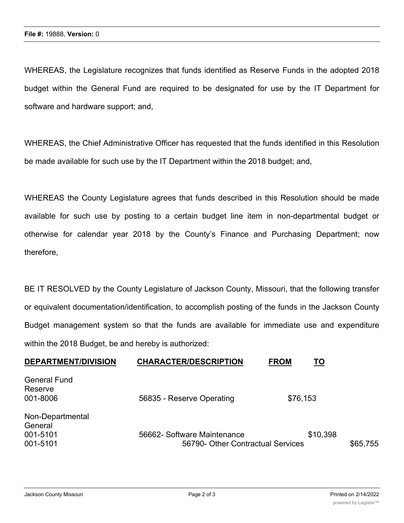WHEREAS, the Legislature recognizes that funds identified as Reserve Funds in the adopted 2018 budget within the General Fund are required to be designated for use by the IT Department for software and hardware support; and,

WHEREAS, the Chief Administrative Officer has requested that the funds identified in this Resolution be made available for such use by the IT Department within the 2018 budget; and,

WHEREAS the County Legislature agrees that funds described in this Resolution should be made available for such use by posting to a certain budget line item in non-departmental budget or otherwise for calendar year 2018 by the County's Finance and Purchasing Department; now therefore,

BE IT RESOLVED by the County Legislature of Jackson County, Missouri, that the following transfer or equivalent documentation/identification, to accomplish posting of the funds in the Jackson County Budget management system so that the funds are available for immediate use and expenditure within the 2018 Budget, be and hereby is authorized:

| <b>DEPARTMENT/DIVISION</b>                          | <b>CHARACTER/DESCRIPTION</b>                                     | <b>FROM</b><br><u>TO</u> |          |
|-----------------------------------------------------|------------------------------------------------------------------|--------------------------|----------|
| <b>General Fund</b><br>Reserve<br>001-8006          | 56835 - Reserve Operating                                        | \$76,153                 |          |
| Non-Departmental<br>General<br>001-5101<br>001-5101 | 56662- Software Maintenance<br>56790- Other Contractual Services | \$10,398                 | \$65,755 |